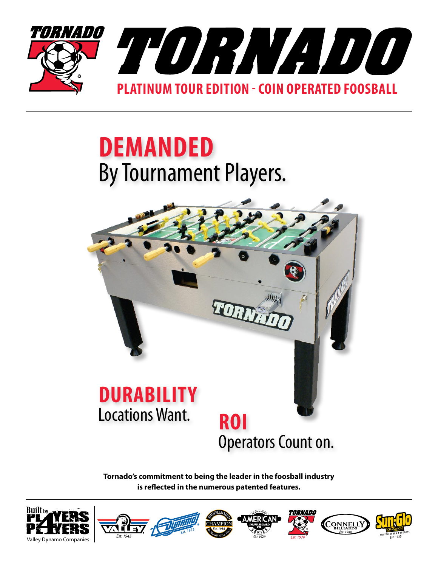

## **demanded** By Tournament Players.



**Tornado's commitment to being the leader in the foosball industry is reflected in the numerous patented features.**